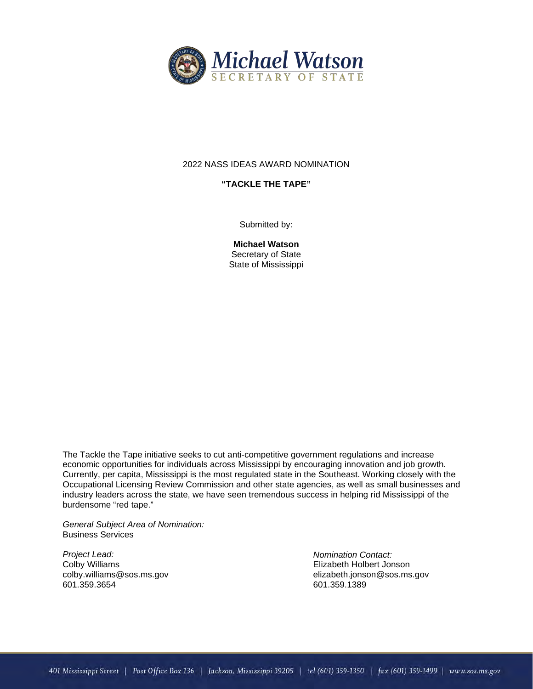

# 2022 NASS IDEAS AWARD NOMINATION

## **"TACKLE THE TAPE"**

Submitted by:

**Michael Watson** Secretary of State State of Mississippi

The Tackle the Tape initiative seeks to cut anti-competitive government regulations and increase economic opportunities for individuals across Mississippi by encouraging innovation and job growth. Currently, per capita, Mississippi is the most regulated state in the Southeast. Working closely with the Occupational Licensing Review Commission and other state agencies, as well as small businesses and industry leaders across the state, we have seen tremendous success in helping rid Mississippi of the burdensome "red tape."

*General Subject Area of Nomination:*  Business Services

*Project Lead:* Colby Williams colby.williams@sos.ms.gov 601.359.3654

*Nomination Contact:* Elizabeth Holbert Jonson elizabeth.jonson@sos.ms.gov 601.359.1389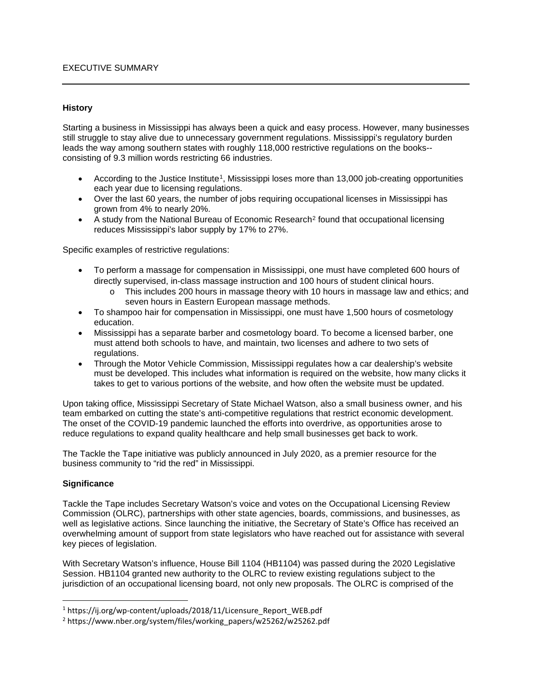### **History**

Starting a business in Mississippi has always been a quick and easy process. However, many businesses still struggle to stay alive due to unnecessary government regulations. Mississippi's regulatory burden leads the way among southern states with roughly 118,000 restrictive regulations on the books- consisting of 9.3 million words restricting 66 industries.

- According to the Justice Institute<sup>[1](#page-1-0)</sup>, Mississippi loses more than 13,000 job-creating opportunities each year due to licensing regulations.
- Over the last 60 years, the number of jobs requiring occupational licenses in Mississippi has grown from 4% to nearly 20%.
- A study from the National Bureau of Economic Research<sup>[2](#page-1-1)</sup> found that occupational licensing reduces Mississippi's labor supply by 17% to 27%.

Specific examples of restrictive regulations:

- To perform a massage for compensation in Mississippi, one must have completed 600 hours of directly supervised, in-class massage instruction and 100 hours of student clinical hours.
	- o This includes 200 hours in massage theory with 10 hours in massage law and ethics; and seven hours in Eastern European massage methods.
- To shampoo hair for compensation in Mississippi, one must have 1,500 hours of cosmetology education.
- Mississippi has a separate barber and cosmetology board. To become a licensed barber, one must attend both schools to have, and maintain, two licenses and adhere to two sets of regulations.
- Through the Motor Vehicle Commission, Mississippi regulates how a car dealership's website must be developed. This includes what information is required on the website, how many clicks it takes to get to various portions of the website, and how often the website must be updated.

Upon taking office, Mississippi Secretary of State Michael Watson, also a small business owner, and his team embarked on cutting the state's anti-competitive regulations that restrict economic development. The onset of the COVID-19 pandemic launched the efforts into overdrive, as opportunities arose to reduce regulations to expand quality healthcare and help small businesses get back to work.

The Tackle the Tape initiative was publicly announced in July 2020, as a premier resource for the business community to "rid the red" in Mississippi.

# **Significance**

Tackle the Tape includes Secretary Watson's voice and votes on the Occupational Licensing Review Commission (OLRC), partnerships with other state agencies, boards, commissions, and businesses, as well as legislative actions. Since launching the initiative, the Secretary of State's Office has received an overwhelming amount of support from state legislators who have reached out for assistance with several key pieces of legislation.

With Secretary Watson's influence, House Bill 1104 (HB1104) was passed during the 2020 Legislative Session. HB1104 granted new authority to the OLRC to review existing regulations subject to the jurisdiction of an occupational licensing board, not only new proposals. The OLRC is comprised of the

<span id="page-1-0"></span><sup>&</sup>lt;sup>1</sup> https://ij.org/wp-content/uploads/2018/11/Licensure\_Report\_WEB.pdf

<span id="page-1-1"></span><sup>&</sup>lt;sup>2</sup> https://www.nber.org/system/files/working\_papers/w25262/w25262.pdf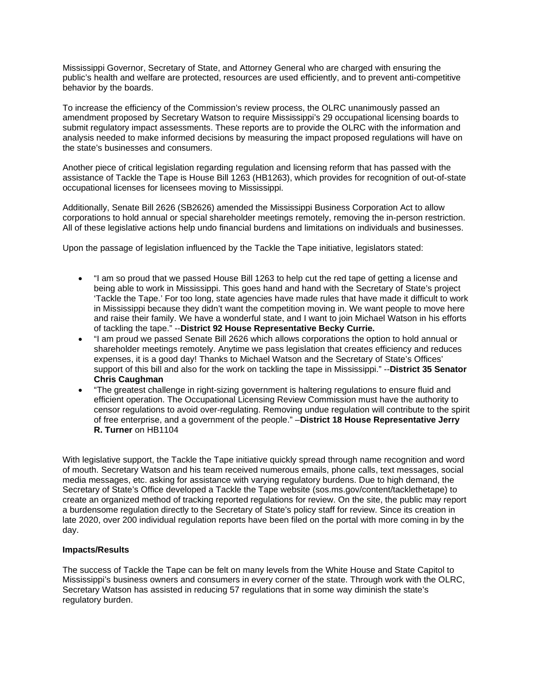Mississippi Governor, Secretary of State, and Attorney General who are charged with ensuring the public's health and welfare are protected, resources are used efficiently, and to prevent anti-competitive behavior by the boards.

To increase the efficiency of the Commission's review process, the OLRC unanimously passed an amendment proposed by Secretary Watson to require Mississippi's 29 occupational licensing boards to submit regulatory impact assessments. These reports are to provide the OLRC with the information and analysis needed to make informed decisions by measuring the impact proposed regulations will have on the state's businesses and consumers.

Another piece of critical legislation regarding regulation and licensing reform that has passed with the assistance of Tackle the Tape is House Bill 1263 (HB1263), which provides for recognition of out-of-state occupational licenses for licensees moving to Mississippi.

Additionally, Senate Bill 2626 (SB2626) amended the Mississippi Business Corporation Act to allow corporations to hold annual or special shareholder meetings remotely, removing the in-person restriction. All of these legislative actions help undo financial burdens and limitations on individuals and businesses.

Upon the passage of legislation influenced by the Tackle the Tape initiative, legislators stated:

- "I am so proud that we passed House Bill 1263 to help cut the red tape of getting a license and being able to work in Mississippi. This goes hand and hand with the Secretary of State's project 'Tackle the Tape.' For too long, state agencies have made rules that have made it difficult to work in Mississippi because they didn't want the competition moving in. We want people to move here and raise their family. We have a wonderful state, and I want to join Michael Watson in his efforts of tackling the tape." --**District 92 House Representative Becky Currie.**
- "I am proud we passed Senate Bill 2626 which allows corporations the option to hold annual or shareholder meetings remotely. Anytime we pass legislation that creates efficiency and reduces expenses, it is a good day! Thanks to Michael Watson and the Secretary of State's Offices' support of this bill and also for the work on tackling the tape in Mississippi." --**District 35 Senator Chris Caughman**
- "The greatest challenge in right-sizing government is haltering regulations to ensure fluid and efficient operation. The Occupational Licensing Review Commission must have the authority to censor regulations to avoid over-regulating. Removing undue regulation will contribute to the spirit of free enterprise, and a government of the people." –**District 18 House Representative Jerry R. Turner** on HB1104

With legislative support, the Tackle the Tape initiative quickly spread through name recognition and word of mouth. Secretary Watson and his team received numerous emails, phone calls, text messages, social media messages, etc. asking for assistance with varying regulatory burdens. Due to high demand, the Secretary of State's Office developed a Tackle the Tape website (sos.ms.gov/content/tacklethetape) to create an organized method of tracking reported regulations for review. On the site, the public may report a burdensome regulation directly to the Secretary of State's policy staff for review. Since its creation in late 2020, over 200 individual regulation reports have been filed on the portal with more coming in by the day.

### **Impacts/Results**

The success of Tackle the Tape can be felt on many levels from the White House and State Capitol to Mississippi's business owners and consumers in every corner of the state. Through work with the OLRC, Secretary Watson has assisted in reducing 57 regulations that in some way diminish the state's regulatory burden.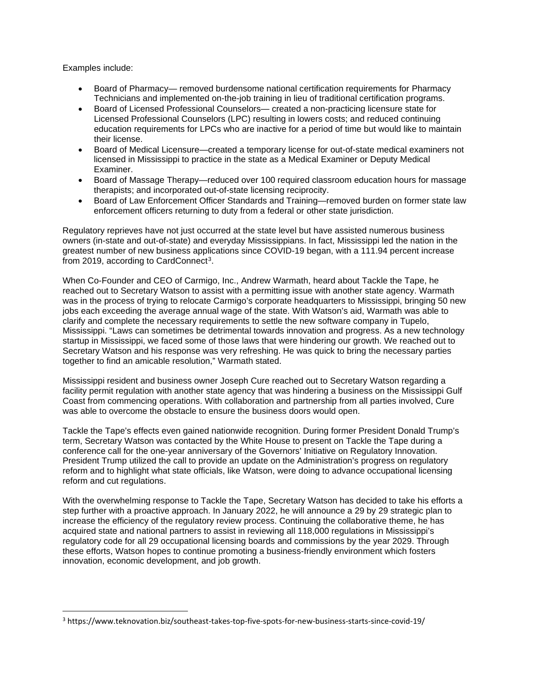Examples include:

- Board of Pharmacy— removed burdensome national certification requirements for Pharmacy Technicians and implemented on-the-job training in lieu of traditional certification programs.
- Board of Licensed Professional Counselors— created a non-practicing licensure state for Licensed Professional Counselors (LPC) resulting in lowers costs; and reduced continuing education requirements for LPCs who are inactive for a period of time but would like to maintain their license.
- Board of Medical Licensure—created a temporary license for out-of-state medical examiners not licensed in Mississippi to practice in the state as a Medical Examiner or Deputy Medical Examiner.
- Board of Massage Therapy—reduced over 100 required classroom education hours for massage therapists; and incorporated out-of-state licensing reciprocity.
- Board of Law Enforcement Officer Standards and Training—removed burden on former state law enforcement officers returning to duty from a federal or other state jurisdiction.

Regulatory reprieves have not just occurred at the state level but have assisted numerous business owners (in-state and out-of-state) and everyday Mississippians. In fact, Mississippi led the nation in the greatest number of new business applications since COVID-19 began, with a 111.94 percent increase from 2019, according to CardConnect<sup>3</sup>.

When Co-Founder and CEO of Carmigo, Inc., Andrew Warmath, heard about Tackle the Tape, he reached out to Secretary Watson to assist with a permitting issue with another state agency. Warmath was in the process of trying to relocate Carmigo's corporate headquarters to Mississippi, bringing 50 new jobs each exceeding the average annual wage of the state. With Watson's aid, Warmath was able to clarify and complete the necessary requirements to settle the new software company in Tupelo, Mississippi. "Laws can sometimes be detrimental towards innovation and progress. As a new technology startup in Mississippi, we faced some of those laws that were hindering our growth. We reached out to Secretary Watson and his response was very refreshing. He was quick to bring the necessary parties together to find an amicable resolution," Warmath stated.

Mississippi resident and business owner Joseph Cure reached out to Secretary Watson regarding a facility permit regulation with another state agency that was hindering a business on the Mississippi Gulf Coast from commencing operations. With collaboration and partnership from all parties involved, Cure was able to overcome the obstacle to ensure the business doors would open.

Tackle the Tape's effects even gained nationwide recognition. During former President Donald Trump's term, Secretary Watson was contacted by the White House to present on Tackle the Tape during a conference call for the one-year anniversary of the Governors' Initiative on Regulatory Innovation. President Trump utilized the call to provide an update on the Administration's progress on regulatory reform and to highlight what state officials, like Watson, were doing to advance occupational licensing reform and cut regulations.

With the overwhelming response to Tackle the Tape, Secretary Watson has decided to take his efforts a step further with a proactive approach. In January 2022, he will announce a 29 by 29 strategic plan to increase the efficiency of the regulatory review process. Continuing the collaborative theme, he has acquired state and national partners to assist in reviewing all 118,000 regulations in Mississippi's regulatory code for all 29 occupational licensing boards and commissions by the year 2029. Through these efforts, Watson hopes to continue promoting a business-friendly environment which fosters innovation, economic development, and job growth.

<span id="page-3-0"></span><sup>3</sup> https://www.teknovation.biz/southeast-takes-top-five-spots-for-new-business-starts-since-covid-19/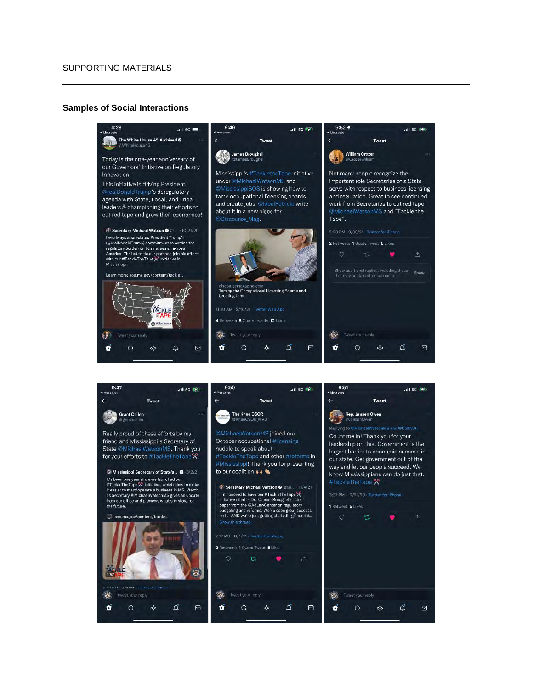### **Samples of Social Interactions**



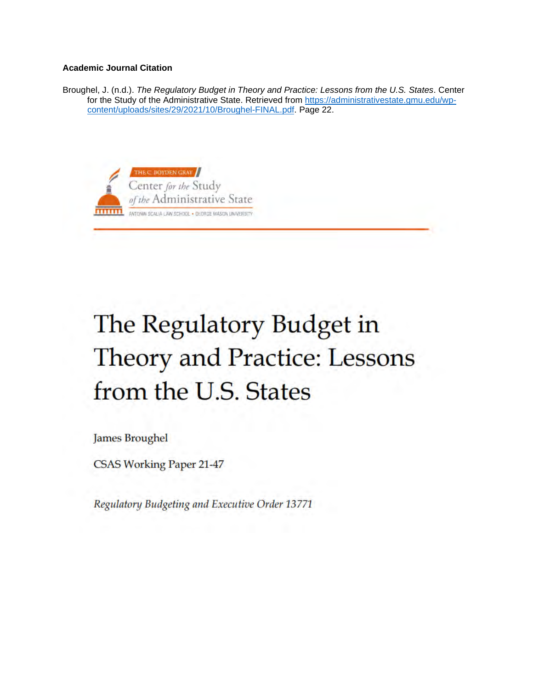# **Academic Journal Citation**

Broughel, J. (n.d.). *The Regulatory Budget in Theory and Practice: Lessons from the U.S. States*. Center for the Study of the Administrative State. Retrieved from [https://administrativestate.gmu.edu/wp](https://administrativestate.gmu.edu/wp-content/uploads/sites/29/2021/10/Broughel-FINAL.pdf)[content/uploads/sites/29/2021/10/Broughel-FINAL.pdf.](https://administrativestate.gmu.edu/wp-content/uploads/sites/29/2021/10/Broughel-FINAL.pdf) Page 22.



# The Regulatory Budget in **Theory and Practice: Lessons** from the U.S. States

**James Broughel** 

**CSAS Working Paper 21-47** 

Regulatory Budgeting and Executive Order 13771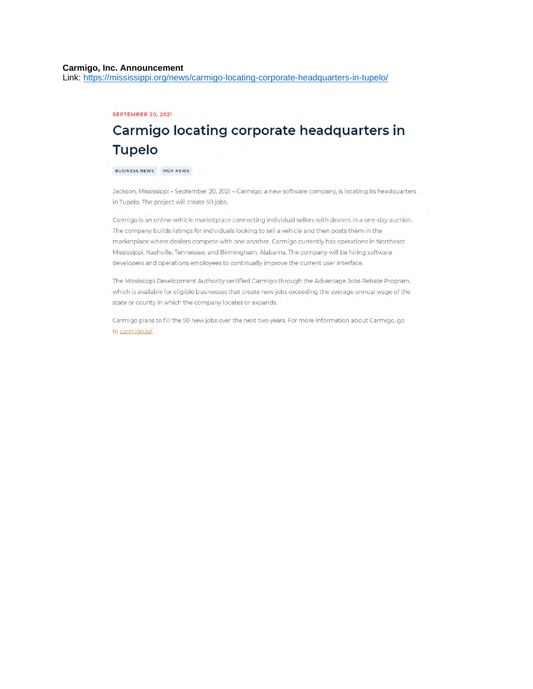### Carmigo, Inc. Announcement

Link: https://mississippi.org/news/carmigo-locating-corporate-headquarters-in-tupelo/

### **SEPTEMBER 20, 2021**

# Carmigo locating corporate headquarters in **Tupelo**

BUSINESS NEWS MDA NEWS

Jackson, Mississippi - September 20, 2021 - Carmigo, a new software company, is locating its headquarters in Tupelo. The project will create 50 jobs.

Carmigo is an online vehicle marketplace connecting individual sellers with dealers in a one-day auction. The company builds listings for individuals looking to sell a vehicle and then posts them in the marketplace where dealers compete with one another. Carmigo currently has operations in Northeast Mississippi; Nashville, Tennessee; and Birmingham, Alabama. The company will be hiring software developers and operations employees to continually improve the current user interface.

The Mississippi Development Authority certified Carmigo through the Advantage Jobs Rebate Program, which is available for eligible businesses that create new jobs exceeding the average annual wage of the state or county in which the company locates or expands.

Carmigo plans to fill the 50 new jobs over the next two years. For more information about Carmigo, go to carmigo.io/.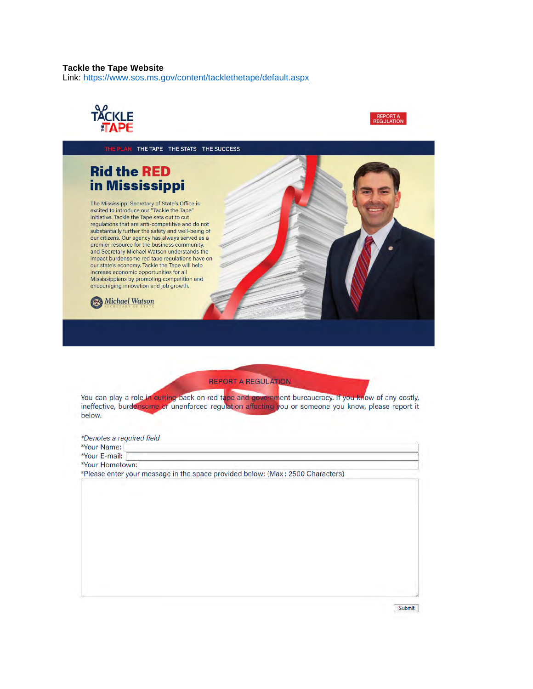### **Tackle the Tape Website**

Link: https://www.sos.ms.gov/content/tacklethetape/default.aspx





THE PLAN THE TAPE THE STATS THE SUCCESS **Rid the RED** in Mississippi The Mississippi Secretary of State's Office is<br>excited to introduce our "Tackle the Tape" initiative. Tackle the Tape sets out to cut regulations that are anti-competitive and do not substantially further the safety and well-being of our citizens. Our agency has always served as a premier resource for the business community,<br>and Secretary Michael Watson understands the impact burdensome red tape regulations have on our state's economy. Tackle the Tape will help increase economic opportunities for all Mississippians by promoting competition and<br>encouraging innovation and job growth. **Michael Watson**  $\circledcirc$ 

**REPORT A REGULATION** 

You can play a role in cutting back on red tape and government bureaucracy. If you know of any costly, ineffective, burdensome or unenforced regulation affecting you or someone you know, please report it below.

\*Denotes a required field

\*Your Name:

\*Your E-mail: \*Your Hometown:

\*Please enter your message in the space provided below: (Max: 2500 Characters)

Submit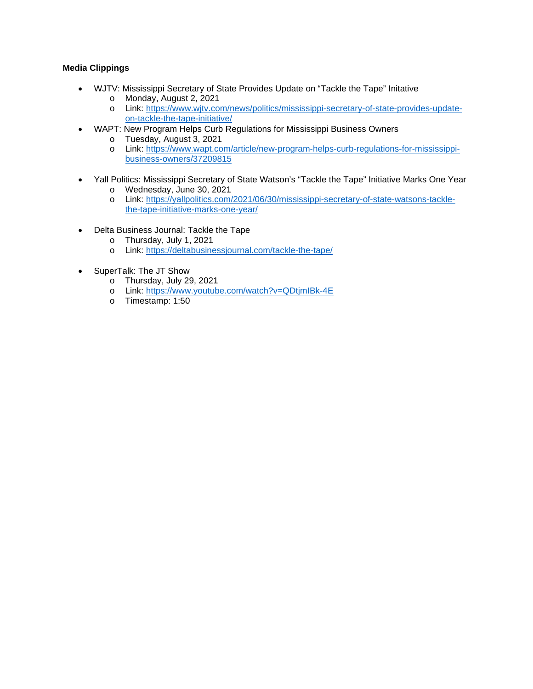# **Media Clippings**

- WJTV: Mississippi Secretary of State Provides Update on "Tackle the Tape" Initative
	- o Monday, August 2, 2021
	- o Link: [https://www.wjtv.com/news/politics/mississippi-secretary-of-state-provides-update](https://www.wjtv.com/news/politics/mississippi-secretary-of-state-provides-update-on-tackle-the-tape-initiative/)[on-tackle-the-tape-initiative/](https://www.wjtv.com/news/politics/mississippi-secretary-of-state-provides-update-on-tackle-the-tape-initiative/)
- WAPT: New Program Helps Curb Regulations for Mississippi Business Owners
	- o Tuesday, August 3, 2021<br>o Link: https://www.wapt.co
	- Link: [https://www.wapt.com/article/new-program-helps-curb-regulations-for-mississippi](https://www.wapt.com/article/new-program-helps-curb-regulations-for-mississippi-business-owners/37209815)[business-owners/37209815](https://www.wapt.com/article/new-program-helps-curb-regulations-for-mississippi-business-owners/37209815)
- Yall Politics: Mississippi Secretary of State Watson's "Tackle the Tape" Initiative Marks One Year
	- o Wednesday, June 30, 2021
	- o Link: [https://yallpolitics.com/2021/06/30/mississippi-secretary-of-state-watsons-tackle](https://yallpolitics.com/2021/06/30/mississippi-secretary-of-state-watsons-tackle-the-tape-initiative-marks-one-year/)[the-tape-initiative-marks-one-year/](https://yallpolitics.com/2021/06/30/mississippi-secretary-of-state-watsons-tackle-the-tape-initiative-marks-one-year/)
- Delta Business Journal: Tackle the Tape
	- o Thursday, July 1, 2021
	- o Link:<https://deltabusinessjournal.com/tackle-the-tape/>
- SuperTalk: The JT Show
	- o Thursday, July 29, 2021
	- o Link:<https://www.youtube.com/watch?v=QDtjmIBk-4E>
	- o Timestamp: 1:50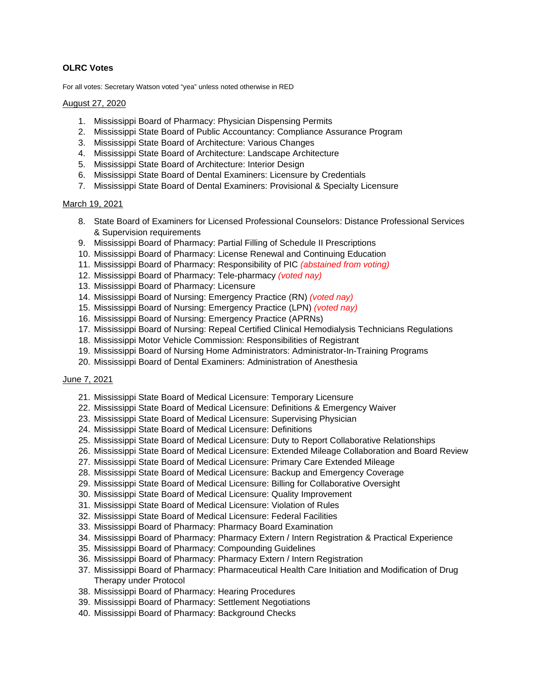# **OLRC Votes**

For all votes: Secretary Watson voted "yea" unless noted otherwise in RED

### August 27, 2020

- 1. Mississippi Board of Pharmacy: Physician Dispensing Permits
- 2. Mississippi State Board of Public Accountancy: Compliance Assurance Program
- 3. Mississippi State Board of Architecture: Various Changes
- 4. Mississippi State Board of Architecture: Landscape Architecture
- 5. Mississippi State Board of Architecture: Interior Design
- 6. Mississippi State Board of Dental Examiners: Licensure by Credentials
- 7. Mississippi State Board of Dental Examiners: Provisional & Specialty Licensure

### March 19, 2021

- 8. State Board of Examiners for Licensed Professional Counselors: Distance Professional Services & Supervision requirements
- 9. Mississippi Board of Pharmacy: Partial Filling of Schedule II Prescriptions
- 10. Mississippi Board of Pharmacy: License Renewal and Continuing Education
- 11. Mississippi Board of Pharmacy: Responsibility of PIC *(abstained from voting)*
- 12. Mississippi Board of Pharmacy: Tele-pharmacy *(voted nay)*
- 13. Mississippi Board of Pharmacy: Licensure
- 14. Mississippi Board of Nursing: Emergency Practice (RN) *(voted nay)*
- 15. Mississippi Board of Nursing: Emergency Practice (LPN) *(voted nay)*
- 16. Mississippi Board of Nursing: Emergency Practice (APRNs)
- 17. Mississippi Board of Nursing: Repeal Certified Clinical Hemodialysis Technicians Regulations
- 18. Mississippi Motor Vehicle Commission: Responsibilities of Registrant
- 19. Mississippi Board of Nursing Home Administrators: Administrator-In-Training Programs
- 20. Mississippi Board of Dental Examiners: Administration of Anesthesia

### June 7, 2021

- 21. Mississippi State Board of Medical Licensure: Temporary Licensure
- 22. Mississippi State Board of Medical Licensure: Definitions & Emergency Waiver
- 23. Mississippi State Board of Medical Licensure: Supervising Physician
- 24. Mississippi State Board of Medical Licensure: Definitions
- 25. Mississippi State Board of Medical Licensure: Duty to Report Collaborative Relationships
- 26. Mississippi State Board of Medical Licensure: Extended Mileage Collaboration and Board Review
- 27. Mississippi State Board of Medical Licensure: Primary Care Extended Mileage
- 28. Mississippi State Board of Medical Licensure: Backup and Emergency Coverage
- 29. Mississippi State Board of Medical Licensure: Billing for Collaborative Oversight
- 30. Mississippi State Board of Medical Licensure: Quality Improvement
- 31. Mississippi State Board of Medical Licensure: Violation of Rules
- 32. Mississippi State Board of Medical Licensure: Federal Facilities
- 33. Mississippi Board of Pharmacy: Pharmacy Board Examination
- 34. Mississippi Board of Pharmacy: Pharmacy Extern / Intern Registration & Practical Experience
- 35. Mississippi Board of Pharmacy: Compounding Guidelines
- 36. Mississippi Board of Pharmacy: Pharmacy Extern / Intern Registration
- 37. Mississippi Board of Pharmacy: Pharmaceutical Health Care Initiation and Modification of Drug Therapy under Protocol
- 38. Mississippi Board of Pharmacy: Hearing Procedures
- 39. Mississippi Board of Pharmacy: Settlement Negotiations
- 40. Mississippi Board of Pharmacy: Background Checks